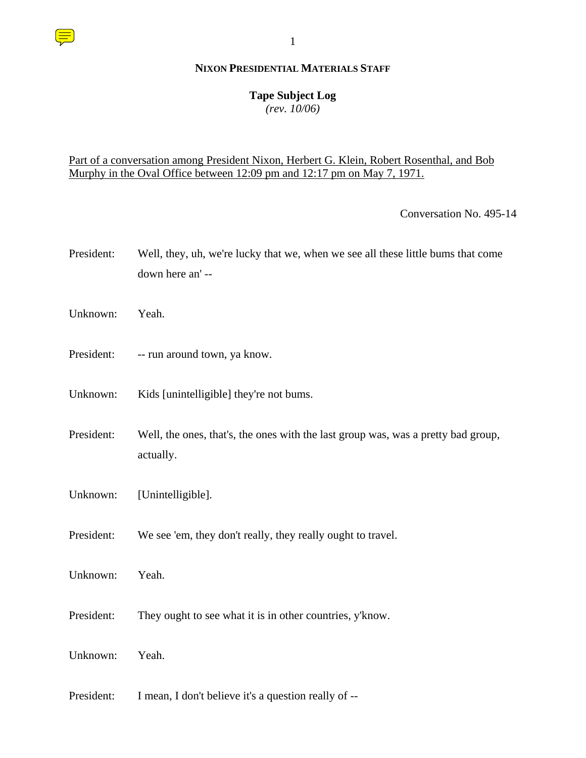#### **NIXON PRESIDENTIAL MATERIALS STAFF**

## **Tape Subject Log**

*(rev. 10/06)*

## Part of a conversation among President Nixon, Herbert G. Klein, Robert Rosenthal, and Bob Murphy in the Oval Office between 12:09 pm and 12:17 pm on May 7, 1971.

Conversation No. 495-14

- President: Well, they, uh, we're lucky that we, when we see all these little bums that come down here an' --
- Unknown: Yeah.
- President: -- run around town, ya know.
- Unknown: Kids [unintelligible] they're not bums.
- President: Well, the ones, that's, the ones with the last group was, was a pretty bad group, actually.
- Unknown: [Unintelligible].
- President: We see 'em, they don't really, they really ought to travel.
- Unknown: Yeah.
- President: They ought to see what it is in other countries, y'know.
- Unknown: Yeah.
- President: I mean, I don't believe it's a question really of --